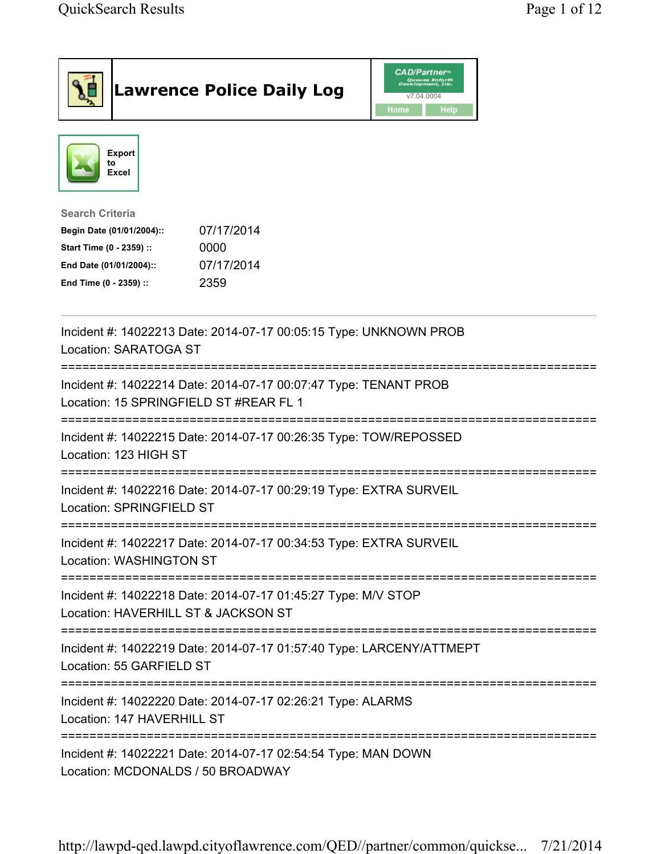|                                                                                                                                      | <b>Lawrence Police Daily Log</b>                                     | <b>CAD/Partner</b> <sup>*</sup><br>Queues Enforth<br>Development, Inc.<br>v7.04.0004<br>Home<br>Help |  |
|--------------------------------------------------------------------------------------------------------------------------------------|----------------------------------------------------------------------|------------------------------------------------------------------------------------------------------|--|
| <b>Export</b><br>to<br><b>Excel</b>                                                                                                  |                                                                      |                                                                                                      |  |
| <b>Search Criteria</b><br>Begin Date (01/01/2004)::<br>Start Time (0 - 2359) ::<br>End Date (01/01/2004)::<br>End Time (0 - 2359) :: | 07/17/2014<br>0000<br>07/17/2014<br>2359                             |                                                                                                      |  |
| Location: SARATOGA ST                                                                                                                | Incident #: 14022213 Date: 2014-07-17 00:05:15 Type: UNKNOWN PROB    |                                                                                                      |  |
| Location: 15 SPRINGFIELD ST #REAR FL 1                                                                                               | Incident #: 14022214 Date: 2014-07-17 00:07:47 Type: TENANT PROB     |                                                                                                      |  |
| Location: 123 HIGH ST                                                                                                                | Incident #: 14022215 Date: 2014-07-17 00:26:35 Type: TOW/REPOSSED    |                                                                                                      |  |
| Location: SPRINGFIELD ST                                                                                                             | Incident #: 14022216 Date: 2014-07-17 00:29:19 Type: EXTRA SURVEIL   |                                                                                                      |  |
| <b>Location: WASHINGTON ST</b>                                                                                                       | Incident #: 14022217 Date: 2014-07-17 00:34:53 Type: EXTRA SURVEIL   |                                                                                                      |  |
| Location: HAVERHILL ST & JACKSON ST                                                                                                  | Incident #: 14022218 Date: 2014-07-17 01:45:27 Type: M/V STOP        |                                                                                                      |  |
| Location: 55 GARFIELD ST                                                                                                             | Incident #: 14022219 Date: 2014-07-17 01:57:40 Type: LARCENY/ATTMEPT |                                                                                                      |  |
| =================================<br>Location: 147 HAVERHILL ST                                                                      | Incident #: 14022220 Date: 2014-07-17 02:26:21 Type: ALARMS          |                                                                                                      |  |
| Location: MCDONALDS / 50 BROADWAY                                                                                                    | Incident #: 14022221 Date: 2014-07-17 02:54:54 Type: MAN DOWN        |                                                                                                      |  |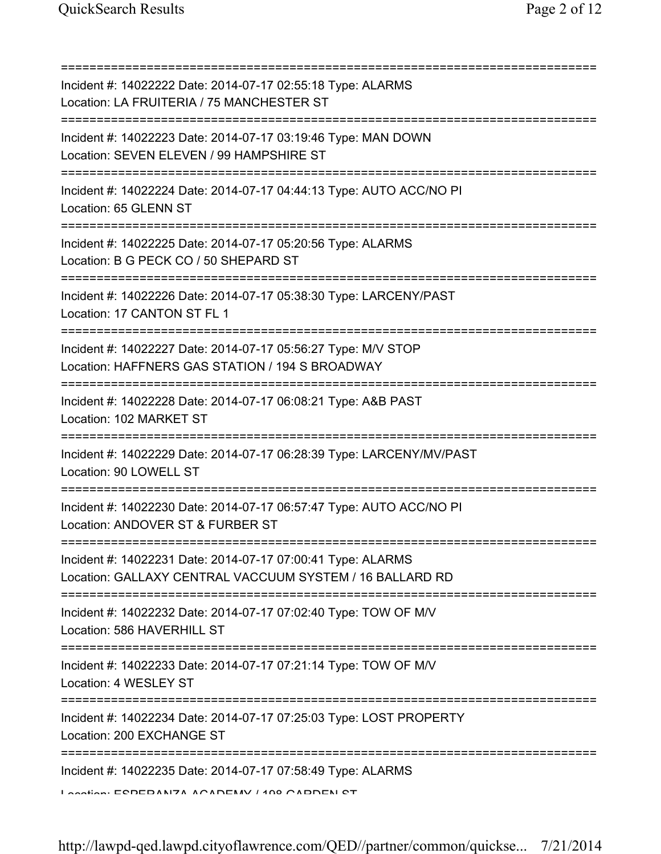=========================================================================== Incident #: 14022222 Date: 2014-07-17 02:55:18 Type: ALARMS Location: LA FRUITERIA / 75 MANCHESTER ST =========================================================================== Incident #: 14022223 Date: 2014-07-17 03:19:46 Type: MAN DOWN Location: SEVEN ELEVEN / 99 HAMPSHIRE ST =========================================================================== Incident #: 14022224 Date: 2014-07-17 04:44:13 Type: AUTO ACC/NO PI Location: 65 GLENN ST =========================================================================== Incident #: 14022225 Date: 2014-07-17 05:20:56 Type: ALARMS Location: B G PECK CO / 50 SHEPARD ST =========================================================================== Incident #: 14022226 Date: 2014-07-17 05:38:30 Type: LARCENY/PAST Location: 17 CANTON ST FL 1 =========================================================================== Incident #: 14022227 Date: 2014-07-17 05:56:27 Type: M/V STOP Location: HAFFNERS GAS STATION / 194 S BROADWAY =========================================================================== Incident #: 14022228 Date: 2014-07-17 06:08:21 Type: A&B PAST Location: 102 MARKET ST =========================================================================== Incident #: 14022229 Date: 2014-07-17 06:28:39 Type: LARCENY/MV/PAST Location: 90 LOWELL ST =========================================================================== Incident #: 14022230 Date: 2014-07-17 06:57:47 Type: AUTO ACC/NO PI Location: ANDOVER ST & FURBER ST =========================================================================== Incident #: 14022231 Date: 2014-07-17 07:00:41 Type: ALARMS Location: GALLAXY CENTRAL VACCUUM SYSTEM / 16 BALLARD RD =========================================================================== Incident #: 14022232 Date: 2014-07-17 07:02:40 Type: TOW OF M/V Location: 586 HAVERHILL ST =========================================================================== Incident #: 14022233 Date: 2014-07-17 07:21:14 Type: TOW OF M/V Location: 4 WESLEY ST =========================================================================== Incident #: 14022234 Date: 2014-07-17 07:25:03 Type: LOST PROPERTY Location: 200 EXCHANGE ST =========================================================================== Incident #: 14022235 Date: 2014-07-17 07:58:49 Type: ALARMS Location: ESPERANZA ACADEMY / 198 GARDEN ST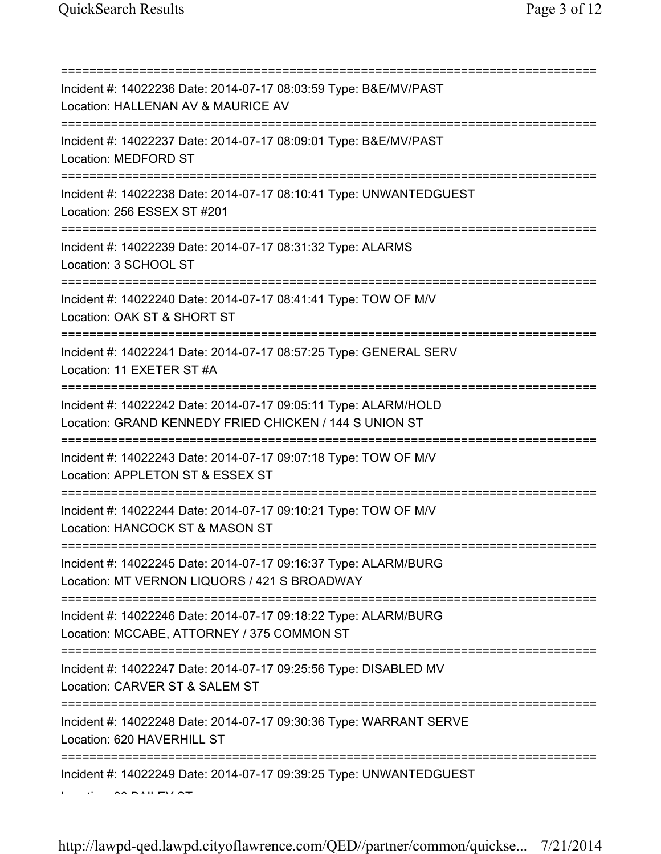=========================================================================== Incident #: 14022236 Date: 2014-07-17 08:03:59 Type: B&E/MV/PAST Location: HALLENAN AV & MAURICE AV =========================================================================== Incident #: 14022237 Date: 2014-07-17 08:09:01 Type: B&E/MV/PAST Location: MEDFORD ST =========================================================================== Incident #: 14022238 Date: 2014-07-17 08:10:41 Type: UNWANTEDGUEST Location: 256 ESSEX ST #201 =========================================================================== Incident #: 14022239 Date: 2014-07-17 08:31:32 Type: ALARMS Location: 3 SCHOOL ST =========================================================================== Incident #: 14022240 Date: 2014-07-17 08:41:41 Type: TOW OF M/V Location: OAK ST & SHORT ST =========================================================================== Incident #: 14022241 Date: 2014-07-17 08:57:25 Type: GENERAL SERV Location: 11 EXETER ST #A =========================================================================== Incident #: 14022242 Date: 2014-07-17 09:05:11 Type: ALARM/HOLD Location: GRAND KENNEDY FRIED CHICKEN / 144 S UNION ST =========================================================================== Incident #: 14022243 Date: 2014-07-17 09:07:18 Type: TOW OF M/V Location: APPLETON ST & ESSEX ST =========================================================================== Incident #: 14022244 Date: 2014-07-17 09:10:21 Type: TOW OF M/V Location: HANCOCK ST & MASON ST =========================================================================== Incident #: 14022245 Date: 2014-07-17 09:16:37 Type: ALARM/BURG Location: MT VERNON LIQUORS / 421 S BROADWAY =========================================================================== Incident #: 14022246 Date: 2014-07-17 09:18:22 Type: ALARM/BURG Location: MCCABE, ATTORNEY / 375 COMMON ST =========================================================================== Incident #: 14022247 Date: 2014-07-17 09:25:56 Type: DISABLED MV Location: CARVER ST & SALEM ST =========================================================================== Incident #: 14022248 Date: 2014-07-17 09:30:36 Type: WARRANT SERVE Location: 620 HAVERHILL ST =========================================================================== Incident #: 14022249 Date: 2014-07-17 09:39:25 Type: UNWANTEDGUEST Location: 80 BAILEY ST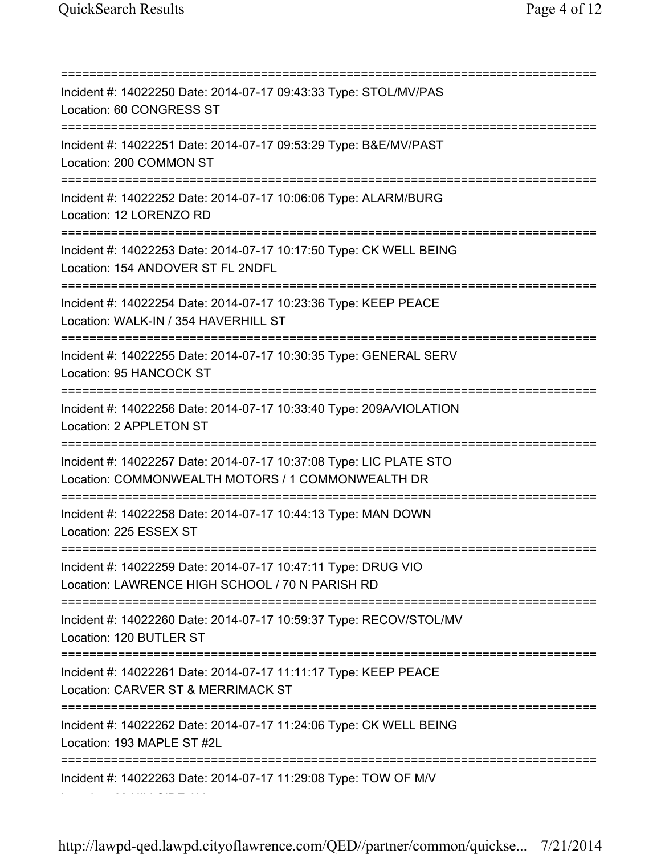Location: 63 HILLSIDE AV

=========================================================================== Incident #: 14022250 Date: 2014-07-17 09:43:33 Type: STOL/MV/PAS Location: 60 CONGRESS ST =========================================================================== Incident #: 14022251 Date: 2014-07-17 09:53:29 Type: B&E/MV/PAST Location: 200 COMMON ST =========================================================================== Incident #: 14022252 Date: 2014-07-17 10:06:06 Type: ALARM/BURG Location: 12 LORENZO RD =========================================================================== Incident #: 14022253 Date: 2014-07-17 10:17:50 Type: CK WELL BEING Location: 154 ANDOVER ST FL 2NDFL =========================================================================== Incident #: 14022254 Date: 2014-07-17 10:23:36 Type: KEEP PEACE Location: WALK-IN / 354 HAVERHILL ST =========================================================================== Incident #: 14022255 Date: 2014-07-17 10:30:35 Type: GENERAL SERV Location: 95 HANCOCK ST =========================================================================== Incident #: 14022256 Date: 2014-07-17 10:33:40 Type: 209A/VIOLATION Location: 2 APPLETON ST =========================================================================== Incident #: 14022257 Date: 2014-07-17 10:37:08 Type: LIC PLATE STO Location: COMMONWEALTH MOTORS / 1 COMMONWEALTH DR =========================================================================== Incident #: 14022258 Date: 2014-07-17 10:44:13 Type: MAN DOWN Location: 225 ESSEX ST =========================================================================== Incident #: 14022259 Date: 2014-07-17 10:47:11 Type: DRUG VIO Location: LAWRENCE HIGH SCHOOL / 70 N PARISH RD =========================================================================== Incident #: 14022260 Date: 2014-07-17 10:59:37 Type: RECOV/STOL/MV Location: 120 BUTLER ST =========================================================================== Incident #: 14022261 Date: 2014-07-17 11:11:17 Type: KEEP PEACE Location: CARVER ST & MERRIMACK ST =========================================================================== Incident #: 14022262 Date: 2014-07-17 11:24:06 Type: CK WELL BEING Location: 193 MAPLE ST #2L =========================================================================== Incident #: 14022263 Date: 2014-07-17 11:29:08 Type: TOW OF M/V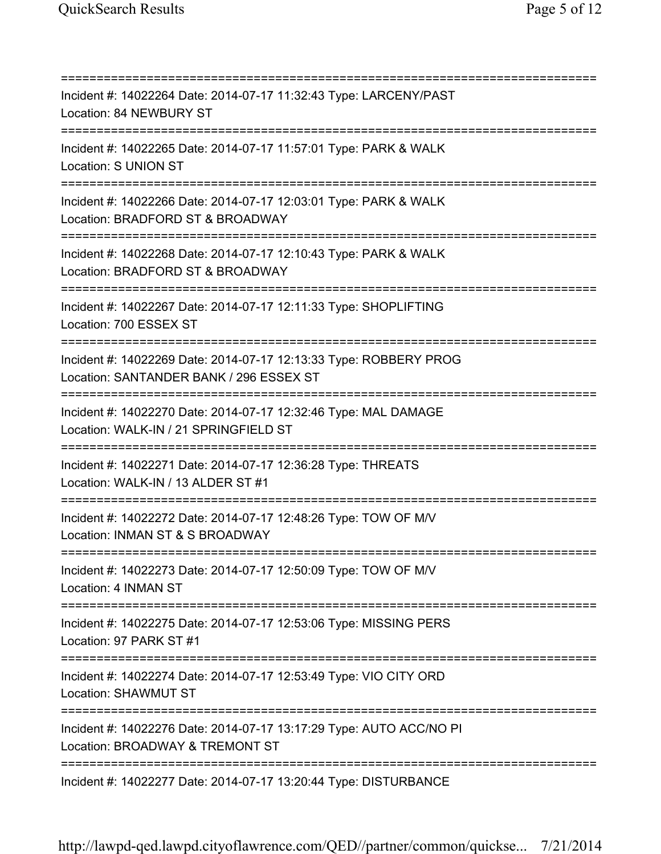=========================================================================== Incident #: 14022264 Date: 2014-07-17 11:32:43 Type: LARCENY/PAST Location: 84 NEWBURY ST =========================================================================== Incident #: 14022265 Date: 2014-07-17 11:57:01 Type: PARK & WALK Location: S UNION ST =========================================================================== Incident #: 14022266 Date: 2014-07-17 12:03:01 Type: PARK & WALK Location: BRADFORD ST & BROADWAY =========================================================================== Incident #: 14022268 Date: 2014-07-17 12:10:43 Type: PARK & WALK Location: BRADFORD ST & BROADWAY =========================================================================== Incident #: 14022267 Date: 2014-07-17 12:11:33 Type: SHOPLIFTING Location: 700 ESSEX ST =========================================================================== Incident #: 14022269 Date: 2014-07-17 12:13:33 Type: ROBBERY PROG Location: SANTANDER BANK / 296 ESSEX ST =========================================================================== Incident #: 14022270 Date: 2014-07-17 12:32:46 Type: MAL DAMAGE Location: WALK-IN / 21 SPRINGFIELD ST =========================================================================== Incident #: 14022271 Date: 2014-07-17 12:36:28 Type: THREATS Location: WALK-IN / 13 ALDER ST #1 =========================================================================== Incident #: 14022272 Date: 2014-07-17 12:48:26 Type: TOW OF M/V Location: INMAN ST & S BROADWAY =========================================================================== Incident #: 14022273 Date: 2014-07-17 12:50:09 Type: TOW OF M/V Location: 4 INMAN ST =========================================================================== Incident #: 14022275 Date: 2014-07-17 12:53:06 Type: MISSING PERS Location: 97 PARK ST #1 =========================================================================== Incident #: 14022274 Date: 2014-07-17 12:53:49 Type: VIO CITY ORD Location: SHAWMUT ST =========================================================================== Incident #: 14022276 Date: 2014-07-17 13:17:29 Type: AUTO ACC/NO PI Location: BROADWAY & TREMONT ST =========================================================================== Incident #: 14022277 Date: 2014-07-17 13:20:44 Type: DISTURBANCE

http://lawpd-qed.lawpd.cityoflawrence.com/QED//partner/common/quickse... 7/21/2014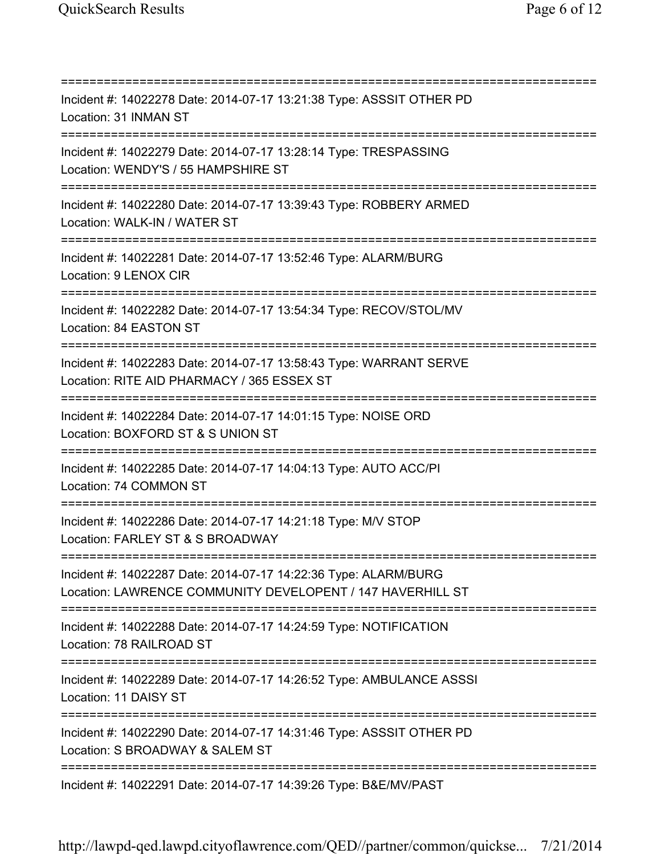=========================================================================== Incident #: 14022278 Date: 2014-07-17 13:21:38 Type: ASSSIT OTHER PD Location: 31 INMAN ST =========================================================================== Incident #: 14022279 Date: 2014-07-17 13:28:14 Type: TRESPASSING Location: WENDY'S / 55 HAMPSHIRE ST =========================================================================== Incident #: 14022280 Date: 2014-07-17 13:39:43 Type: ROBBERY ARMED Location: WALK-IN / WATER ST =========================================================================== Incident #: 14022281 Date: 2014-07-17 13:52:46 Type: ALARM/BURG Location: 9 LENOX CIR =========================================================================== Incident #: 14022282 Date: 2014-07-17 13:54:34 Type: RECOV/STOL/MV Location: 84 EASTON ST =========================================================================== Incident #: 14022283 Date: 2014-07-17 13:58:43 Type: WARRANT SERVE Location: RITE AID PHARMACY / 365 ESSEX ST =========================================================================== Incident #: 14022284 Date: 2014-07-17 14:01:15 Type: NOISE ORD Location: BOXFORD ST & S UNION ST =========================================================================== Incident #: 14022285 Date: 2014-07-17 14:04:13 Type: AUTO ACC/PI Location: 74 COMMON ST =========================================================================== Incident #: 14022286 Date: 2014-07-17 14:21:18 Type: M/V STOP Location: FARLEY ST & S BROADWAY =========================================================================== Incident #: 14022287 Date: 2014-07-17 14:22:36 Type: ALARM/BURG Location: LAWRENCE COMMUNITY DEVELOPENT / 147 HAVERHILL ST =========================================================================== Incident #: 14022288 Date: 2014-07-17 14:24:59 Type: NOTIFICATION Location: 78 RAILROAD ST =========================================================================== Incident #: 14022289 Date: 2014-07-17 14:26:52 Type: AMBULANCE ASSSI Location: 11 DAISY ST =========================================================================== Incident #: 14022290 Date: 2014-07-17 14:31:46 Type: ASSSIT OTHER PD Location: S BROADWAY & SALEM ST =========================================================================== Incident #: 14022291 Date: 2014-07-17 14:39:26 Type: B&E/MV/PAST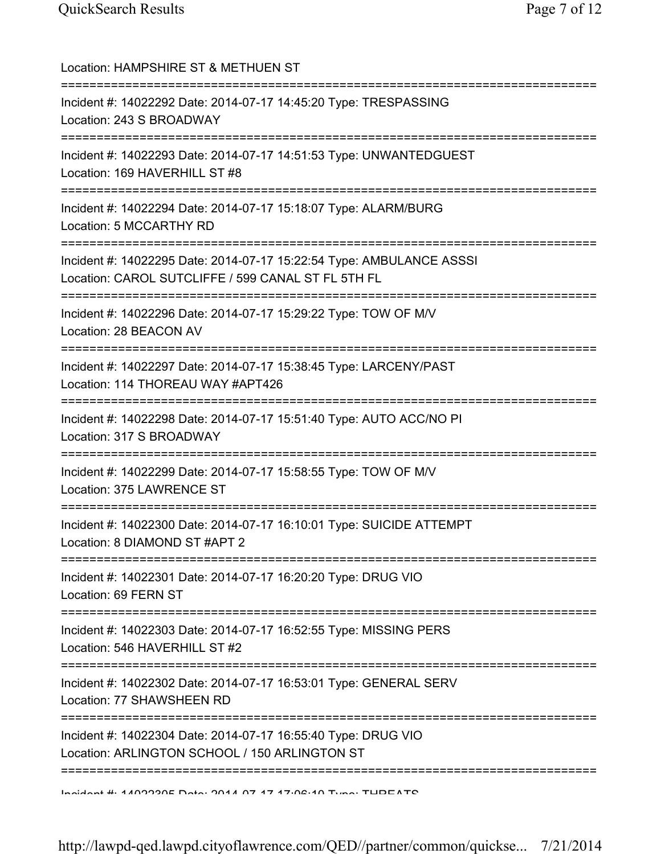| Location: HAMPSHIRE ST & METHUEN ST                                                                                                          |
|----------------------------------------------------------------------------------------------------------------------------------------------|
| Incident #: 14022292 Date: 2014-07-17 14:45:20 Type: TRESPASSING<br>Location: 243 S BROADWAY                                                 |
| Incident #: 14022293 Date: 2014-07-17 14:51:53 Type: UNWANTEDGUEST<br>Location: 169 HAVERHILL ST #8<br>===================================== |
| Incident #: 14022294 Date: 2014-07-17 15:18:07 Type: ALARM/BURG<br>Location: 5 MCCARTHY RD                                                   |
| Incident #: 14022295 Date: 2014-07-17 15:22:54 Type: AMBULANCE ASSSI<br>Location: CAROL SUTCLIFFE / 599 CANAL ST FL 5TH FL                   |
| Incident #: 14022296 Date: 2014-07-17 15:29:22 Type: TOW OF M/V<br>Location: 28 BEACON AV                                                    |
| Incident #: 14022297 Date: 2014-07-17 15:38:45 Type: LARCENY/PAST<br>Location: 114 THOREAU WAY #APT426                                       |
| Incident #: 14022298 Date: 2014-07-17 15:51:40 Type: AUTO ACC/NO PI<br>Location: 317 S BROADWAY                                              |
| Incident #: 14022299 Date: 2014-07-17 15:58:55 Type: TOW OF M/V<br>Location: 375 LAWRENCE ST                                                 |
| Incident #: 14022300 Date: 2014-07-17 16:10:01 Type: SUICIDE ATTEMPT<br>Location: 8 DIAMOND ST #APT 2                                        |
| Incident #: 14022301 Date: 2014-07-17 16:20:20 Type: DRUG VIO<br>Location: 69 FERN ST                                                        |
| Incident #: 14022303 Date: 2014-07-17 16:52:55 Type: MISSING PERS<br>Location: 546 HAVERHILL ST #2                                           |
| =============<br>Incident #: 14022302 Date: 2014-07-17 16:53:01 Type: GENERAL SERV<br>Location: 77 SHAWSHEEN RD                              |
| ========<br>Incident #: 14022304 Date: 2014-07-17 16:55:40 Type: DRUG VIO<br>Location: ARLINGTON SCHOOL / 150 ARLINGTON ST                   |
| Incident # 4400000E Data 0044 07 47 47.00.40 Tune TUDEATO                                                                                    |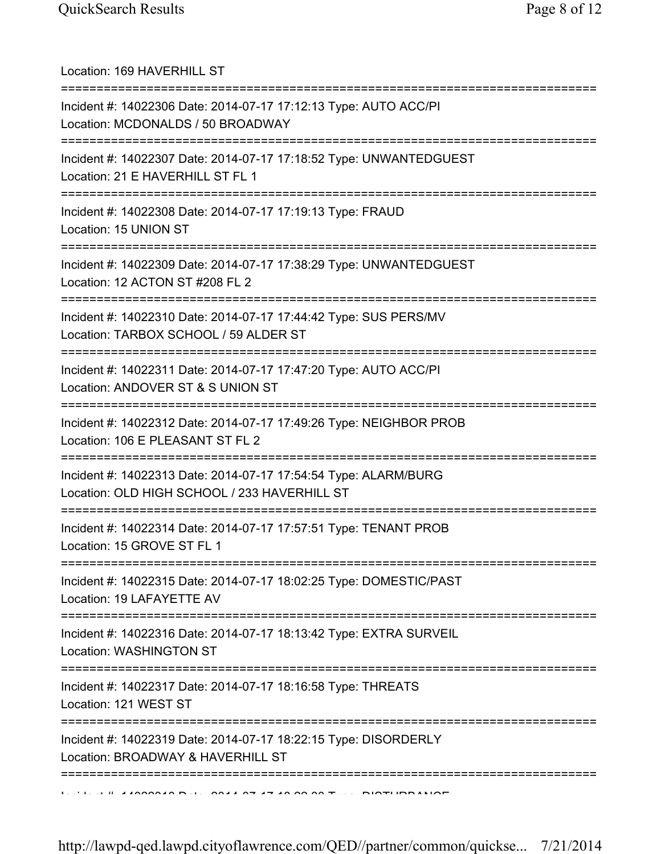| Location: 169 HAVERHILL ST                                                                                                               |
|------------------------------------------------------------------------------------------------------------------------------------------|
| Incident #: 14022306 Date: 2014-07-17 17:12:13 Type: AUTO ACC/PI<br>Location: MCDONALDS / 50 BROADWAY<br>======================          |
| Incident #: 14022307 Date: 2014-07-17 17:18:52 Type: UNWANTEDGUEST<br>Location: 21 E HAVERHILL ST FL 1                                   |
| Incident #: 14022308 Date: 2014-07-17 17:19:13 Type: FRAUD<br>Location: 15 UNION ST<br>;=================================                |
| Incident #: 14022309 Date: 2014-07-17 17:38:29 Type: UNWANTEDGUEST<br>Location: 12 ACTON ST #208 FL 2                                    |
| Incident #: 14022310 Date: 2014-07-17 17:44:42 Type: SUS PERS/MV<br>Location: TARBOX SCHOOL / 59 ALDER ST                                |
| Incident #: 14022311 Date: 2014-07-17 17:47:20 Type: AUTO ACC/PI<br>Location: ANDOVER ST & S UNION ST                                    |
| Incident #: 14022312 Date: 2014-07-17 17:49:26 Type: NEIGHBOR PROB<br>Location: 106 E PLEASANT ST FL 2                                   |
| Incident #: 14022313 Date: 2014-07-17 17:54:54 Type: ALARM/BURG<br>Location: OLD HIGH SCHOOL / 233 HAVERHILL ST                          |
| Incident #: 14022314 Date: 2014-07-17 17:57:51 Type: TENANT PROB<br>Location: 15 GROVE ST FL 1<br>====================================== |
| Incident #: 14022315 Date: 2014-07-17 18:02:25 Type: DOMESTIC/PAST<br>Location: 19 LAFAYETTE AV                                          |
| Incident #: 14022316 Date: 2014-07-17 18:13:42 Type: EXTRA SURVEIL<br>Location: WASHINGTON ST                                            |
| Incident #: 14022317 Date: 2014-07-17 18:16:58 Type: THREATS<br>Location: 121 WEST ST                                                    |
| Incident #: 14022319 Date: 2014-07-17 18:22:15 Type: DISORDERLY<br>Location: BROADWAY & HAVERHILL ST                                     |
|                                                                                                                                          |

http://lawpd-qed.lawpd.cityoflawrence.com/QED//partner/common/quickse... 7/21/2014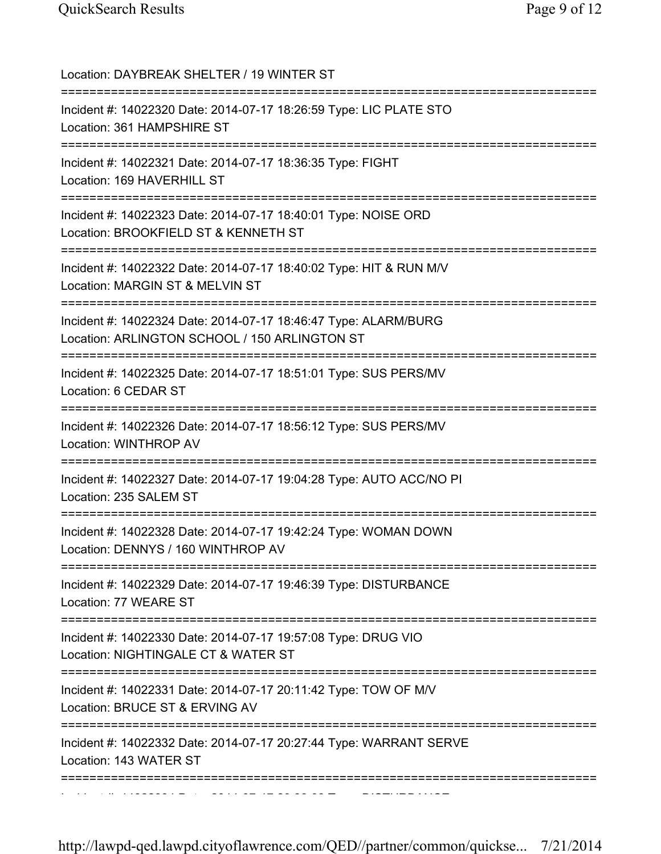| Location: DAYBREAK SHELTER / 19 WINTER ST                                                                                                       |
|-------------------------------------------------------------------------------------------------------------------------------------------------|
| Incident #: 14022320 Date: 2014-07-17 18:26:59 Type: LIC PLATE STO<br>Location: 361 HAMPSHIRE ST                                                |
| Incident #: 14022321 Date: 2014-07-17 18:36:35 Type: FIGHT<br>Location: 169 HAVERHILL ST                                                        |
| Incident #: 14022323 Date: 2014-07-17 18:40:01 Type: NOISE ORD<br>Location: BROOKFIELD ST & KENNETH ST                                          |
| Incident #: 14022322 Date: 2014-07-17 18:40:02 Type: HIT & RUN M/V<br>Location: MARGIN ST & MELVIN ST<br>:============                          |
| ===========================<br>Incident #: 14022324 Date: 2014-07-17 18:46:47 Type: ALARM/BURG<br>Location: ARLINGTON SCHOOL / 150 ARLINGTON ST |
| Incident #: 14022325 Date: 2014-07-17 18:51:01 Type: SUS PERS/MV<br>Location: 6 CEDAR ST                                                        |
| Incident #: 14022326 Date: 2014-07-17 18:56:12 Type: SUS PERS/MV<br>Location: WINTHROP AV                                                       |
| Incident #: 14022327 Date: 2014-07-17 19:04:28 Type: AUTO ACC/NO PI<br>Location: 235 SALEM ST                                                   |
| Incident #: 14022328 Date: 2014-07-17 19:42:24 Type: WOMAN DOWN<br>Location: DENNYS / 160 WINTHROP AV                                           |
| Incident #: 14022329 Date: 2014-07-17 19:46:39 Type: DISTURBANCE<br>Location: 77 WEARE ST                                                       |
| Incident #: 14022330 Date: 2014-07-17 19:57:08 Type: DRUG VIO<br>Location: NIGHTINGALE CT & WATER ST                                            |
| Incident #: 14022331 Date: 2014-07-17 20:11:42 Type: TOW OF M/V<br>Location: BRUCE ST & ERVING AV                                               |
| Incident #: 14022332 Date: 2014-07-17 20:27:44 Type: WARRANT SERVE<br>Location: 143 WATER ST                                                    |
|                                                                                                                                                 |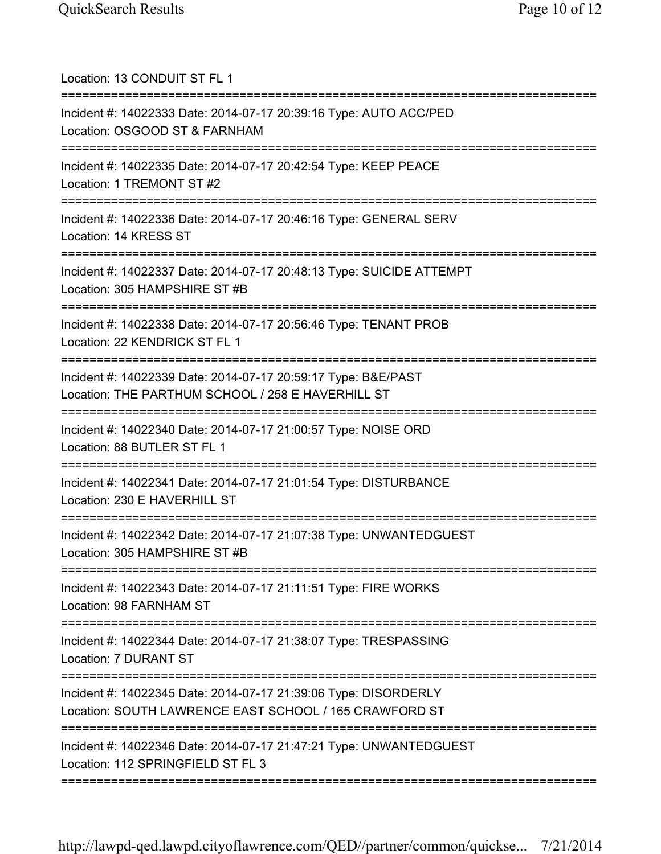| Location: 13 CONDUIT ST FL 1                                                                                                                             |
|----------------------------------------------------------------------------------------------------------------------------------------------------------|
| Incident #: 14022333 Date: 2014-07-17 20:39:16 Type: AUTO ACC/PED<br>Location: OSGOOD ST & FARNHAM<br>=================<br>:=============                |
| Incident #: 14022335 Date: 2014-07-17 20:42:54 Type: KEEP PEACE<br>Location: 1 TREMONT ST #2                                                             |
| Incident #: 14022336 Date: 2014-07-17 20:46:16 Type: GENERAL SERV<br>Location: 14 KRESS ST                                                               |
| Incident #: 14022337 Date: 2014-07-17 20:48:13 Type: SUICIDE ATTEMPT<br>Location: 305 HAMPSHIRE ST #B                                                    |
| Incident #: 14022338 Date: 2014-07-17 20:56:46 Type: TENANT PROB<br>Location: 22 KENDRICK ST FL 1                                                        |
| Incident #: 14022339 Date: 2014-07-17 20:59:17 Type: B&E/PAST<br>Location: THE PARTHUM SCHOOL / 258 E HAVERHILL ST<br>---------------------------------- |
| Incident #: 14022340 Date: 2014-07-17 21:00:57 Type: NOISE ORD<br>Location: 88 BUTLER ST FL 1                                                            |
| Incident #: 14022341 Date: 2014-07-17 21:01:54 Type: DISTURBANCE<br>Location: 230 E HAVERHILL ST                                                         |
| Incident #: 14022342 Date: 2014-07-17 21:07:38 Type: UNWANTEDGUEST<br>Location: 305 HAMPSHIRE ST #B                                                      |
| Incident #: 14022343 Date: 2014-07-17 21:11:51 Type: FIRE WORKS<br>Location: 98 FARNHAM ST                                                               |
| Incident #: 14022344 Date: 2014-07-17 21:38:07 Type: TRESPASSING<br>Location: 7 DURANT ST                                                                |
| Incident #: 14022345 Date: 2014-07-17 21:39:06 Type: DISORDERLY<br>Location: SOUTH LAWRENCE EAST SCHOOL / 165 CRAWFORD ST                                |
| Incident #: 14022346 Date: 2014-07-17 21:47:21 Type: UNWANTEDGUEST<br>Location: 112 SPRINGFIELD ST FL 3                                                  |
|                                                                                                                                                          |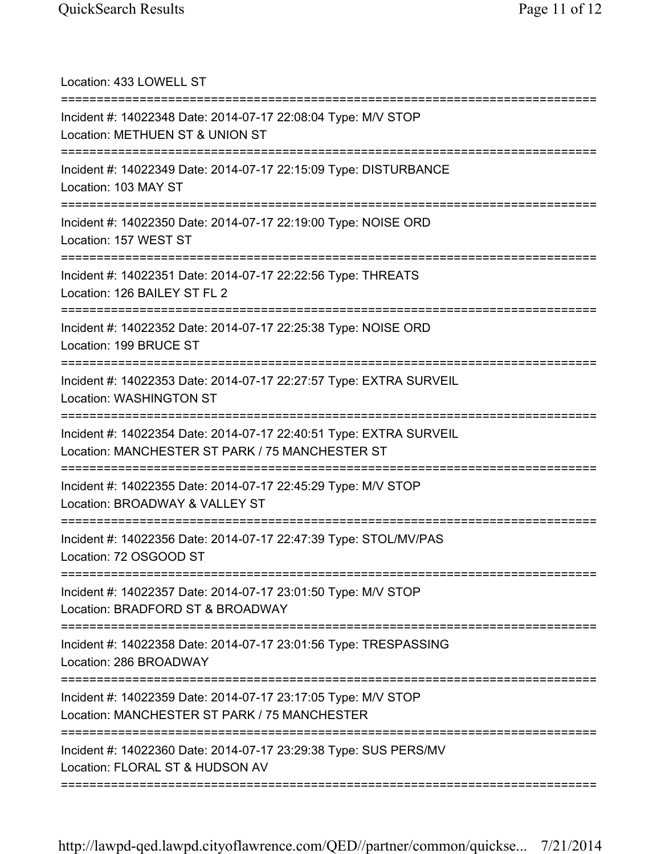| Location: 433 LOWELL ST                                                                                                              |
|--------------------------------------------------------------------------------------------------------------------------------------|
| Incident #: 14022348 Date: 2014-07-17 22:08:04 Type: M/V STOP<br>Location: METHUEN ST & UNION ST                                     |
| Incident #: 14022349 Date: 2014-07-17 22:15:09 Type: DISTURBANCE<br>Location: 103 MAY ST                                             |
| Incident #: 14022350 Date: 2014-07-17 22:19:00 Type: NOISE ORD<br>Location: 157 WEST ST<br>====================================      |
| Incident #: 14022351 Date: 2014-07-17 22:22:56 Type: THREATS<br>Location: 126 BAILEY ST FL 2<br>==================================== |
| Incident #: 14022352 Date: 2014-07-17 22:25:38 Type: NOISE ORD<br>Location: 199 BRUCE ST                                             |
| Incident #: 14022353 Date: 2014-07-17 22:27:57 Type: EXTRA SURVEIL<br>Location: WASHINGTON ST                                        |
| 55555555555<br>Incident #: 14022354 Date: 2014-07-17 22:40:51 Type: EXTRA SURVEIL<br>Location: MANCHESTER ST PARK / 75 MANCHESTER ST |
| Incident #: 14022355 Date: 2014-07-17 22:45:29 Type: M/V STOP<br>Location: BROADWAY & VALLEY ST                                      |
| Incident #: 14022356 Date: 2014-07-17 22:47:39 Type: STOL/MV/PAS<br>Location: 72 OSGOOD ST                                           |
| Incident #: 14022357 Date: 2014-07-17 23:01:50 Type: M/V STOP<br>Location: BRADFORD ST & BROADWAY                                    |
| Incident #: 14022358 Date: 2014-07-17 23:01:56 Type: TRESPASSING<br>Location: 286 BROADWAY                                           |
| Incident #: 14022359 Date: 2014-07-17 23:17:05 Type: M/V STOP<br>Location: MANCHESTER ST PARK / 75 MANCHESTER                        |
| Incident #: 14022360 Date: 2014-07-17 23:29:38 Type: SUS PERS/MV<br>Location: FLORAL ST & HUDSON AV                                  |
|                                                                                                                                      |